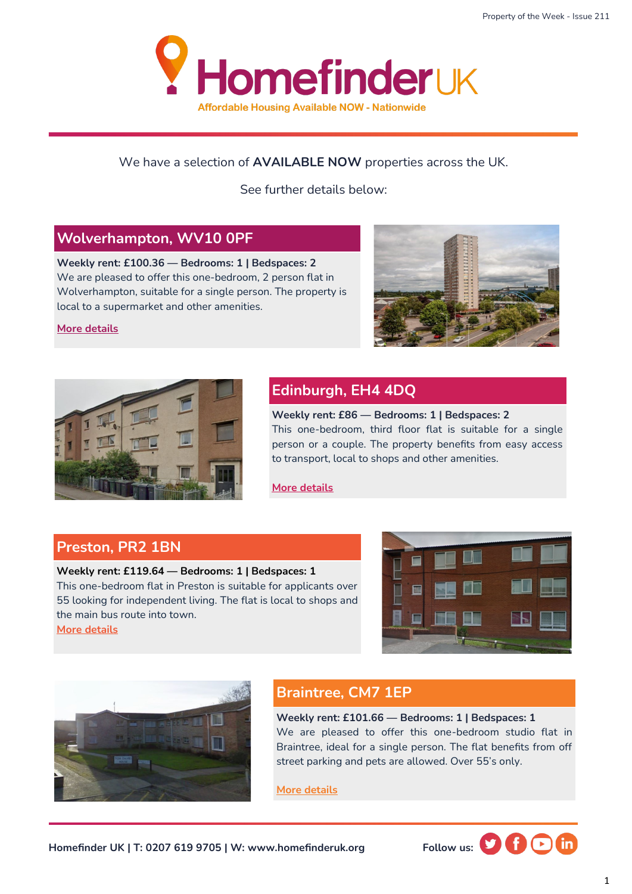

#### We have a selection of **AVAILABLE NOW** properties across the UK.

See further details below:

### **Wolverhampton, WV10 0PF**

**Weekly rent: £100.36 — Bedrooms: 1 | Bedspaces: 2** We are pleased to offer this one-bedroom, 2 person flat in Wolverhampton, suitable for a single person. The property is local to a supermarket and other amenities.



#### **[More details](https://homefinderuk.org/property-detail/542398480-HF2001762)**



## **Edinburgh, EH4 4DQ**

**Weekly rent: £86 — Bedrooms: 1 | Bedspaces: 2** This one-bedroom, third floor flat is suitable for a single person or a couple. The property benefits from easy access to transport, local to shops and other amenities.

**[More details](https://homefinderuk.org/property-detail/538634061-HF2001668)**

#### **Preston, PR2 1BN**

#### **Weekly rent: £119.64 — Bedrooms: 1 | Bedspaces: 1** This one-bedroom flat in Preston is suitable for applicants over

55 looking for independent living. The flat is local to shops and the main bus route into town. **[More details](https://homefinderuk.org/property-detail/540563176-HF2001725)**





### **Braintree, CM7 1EP**

**Weekly rent: £101.66 — Bedrooms: 1 | Bedspaces: 1** We are pleased to offer this one-bedroom studio flat in Braintree, ideal for a single person. The flat benefits from off street parking and pets are allowed. Over 55's only.

**[More details](https://homefinderuk.org/property-detail/522180183-HF2001093)**